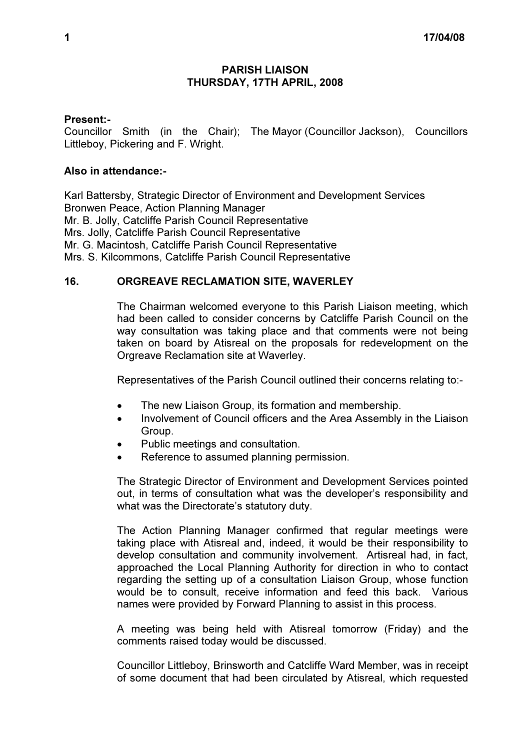## PARISH LIAISON THURSDAY, 17TH APRIL, 2008

## Present:-

Councillor Smith (in the Chair); The Mayor (Councillor Jackson), Councillors Littleboy, Pickering and F. Wright.

## Also in attendance:-

Karl Battersby, Strategic Director of Environment and Development Services Bronwen Peace, Action Planning Manager Mr. B. Jolly, Catcliffe Parish Council Representative Mrs. Jolly, Catcliffe Parish Council Representative Mr. G. Macintosh, Catcliffe Parish Council Representative Mrs. S. Kilcommons, Catcliffe Parish Council Representative

## 16. ORGREAVE RECLAMATION SITE, WAVERLEY

 The Chairman welcomed everyone to this Parish Liaison meeting, which had been called to consider concerns by Catcliffe Parish Council on the way consultation was taking place and that comments were not being taken on board by Atisreal on the proposals for redevelopment on the Orgreave Reclamation site at Waverley.

Representatives of the Parish Council outlined their concerns relating to:-

- The new Liaison Group, its formation and membership.
- Involvement of Council officers and the Area Assembly in the Liaison Group.
- Public meetings and consultation.
- Reference to assumed planning permission.

The Strategic Director of Environment and Development Services pointed out, in terms of consultation what was the developer's responsibility and what was the Directorate's statutory duty.

The Action Planning Manager confirmed that regular meetings were taking place with Atisreal and, indeed, it would be their responsibility to develop consultation and community involvement. Artisreal had, in fact, approached the Local Planning Authority for direction in who to contact regarding the setting up of a consultation Liaison Group, whose function would be to consult, receive information and feed this back. Various names were provided by Forward Planning to assist in this process.

A meeting was being held with Atisreal tomorrow (Friday) and the comments raised today would be discussed.

Councillor Littleboy, Brinsworth and Catcliffe Ward Member, was in receipt of some document that had been circulated by Atisreal, which requested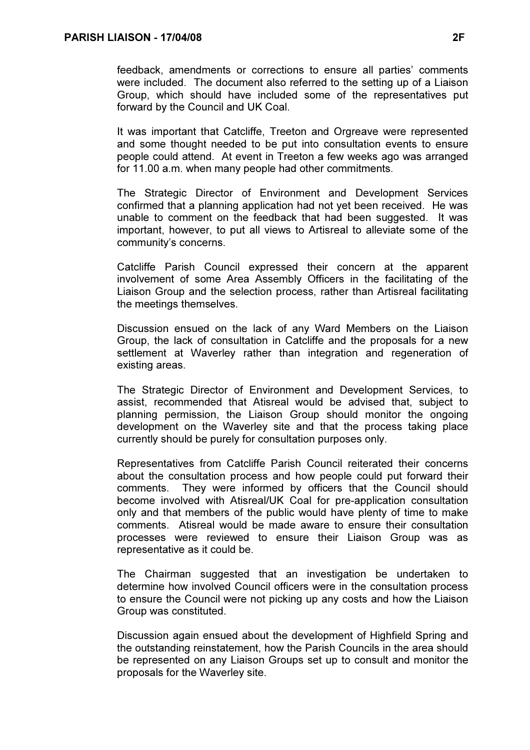feedback, amendments or corrections to ensure all parties' comments were included. The document also referred to the setting up of a Liaison Group, which should have included some of the representatives put forward by the Council and UK Coal.

It was important that Catcliffe, Treeton and Orgreave were represented and some thought needed to be put into consultation events to ensure people could attend. At event in Treeton a few weeks ago was arranged for 11.00 a.m. when many people had other commitments.

The Strategic Director of Environment and Development Services confirmed that a planning application had not yet been received. He was unable to comment on the feedback that had been suggested. It was important, however, to put all views to Artisreal to alleviate some of the community's concerns.

Catcliffe Parish Council expressed their concern at the apparent involvement of some Area Assembly Officers in the facilitating of the Liaison Group and the selection process, rather than Artisreal facilitating the meetings themselves.

Discussion ensued on the lack of any Ward Members on the Liaison Group, the lack of consultation in Catcliffe and the proposals for a new settlement at Waverley rather than integration and regeneration of existing areas.

The Strategic Director of Environment and Development Services, to assist, recommended that Atisreal would be advised that, subject to planning permission, the Liaison Group should monitor the ongoing development on the Waverley site and that the process taking place currently should be purely for consultation purposes only.

Representatives from Catcliffe Parish Council reiterated their concerns about the consultation process and how people could put forward their comments. They were informed by officers that the Council should become involved with Atisreal/UK Coal for pre-application consultation only and that members of the public would have plenty of time to make comments. Atisreal would be made aware to ensure their consultation processes were reviewed to ensure their Liaison Group was as representative as it could be.

The Chairman suggested that an investigation be undertaken to determine how involved Council officers were in the consultation process to ensure the Council were not picking up any costs and how the Liaison Group was constituted.

Discussion again ensued about the development of Highfield Spring and the outstanding reinstatement, how the Parish Councils in the area should be represented on any Liaison Groups set up to consult and monitor the proposals for the Waverley site.